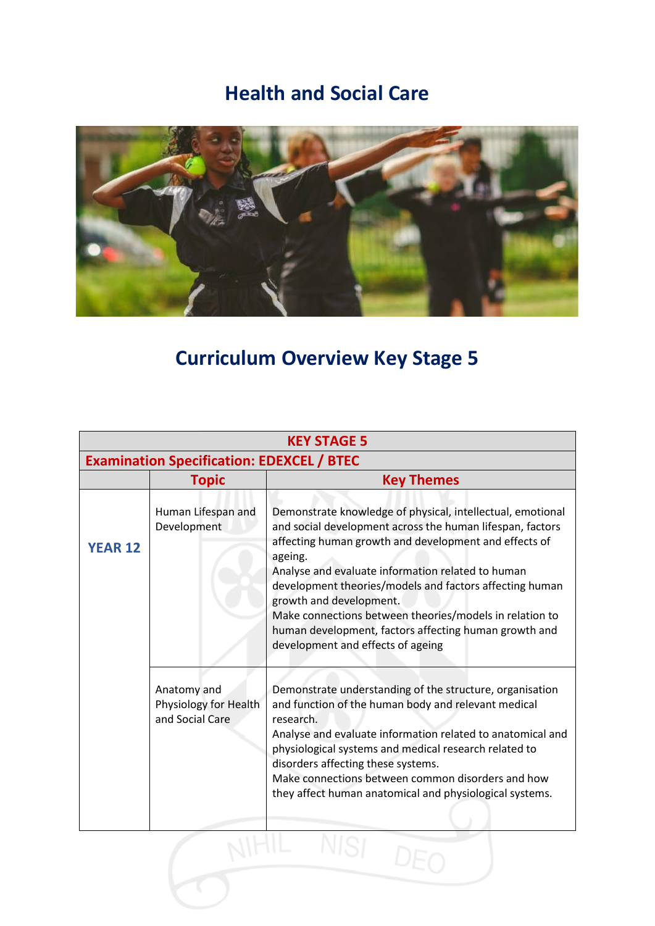## **Health and Social Care**



## **Curriculum Overview Key Stage 5**

| <b>KEY STAGE 5</b><br><b>Examination Specification: EDEXCEL / BTEC</b> |                                                         |                                                                                                                                                                                                                                                                                                                                                                                                                                                                                                 |  |  |
|------------------------------------------------------------------------|---------------------------------------------------------|-------------------------------------------------------------------------------------------------------------------------------------------------------------------------------------------------------------------------------------------------------------------------------------------------------------------------------------------------------------------------------------------------------------------------------------------------------------------------------------------------|--|--|
|                                                                        |                                                         |                                                                                                                                                                                                                                                                                                                                                                                                                                                                                                 |  |  |
| <b>YEAR 12</b>                                                         | Human Lifespan and<br>Development                       | Demonstrate knowledge of physical, intellectual, emotional<br>and social development across the human lifespan, factors<br>affecting human growth and development and effects of<br>ageing.<br>Analyse and evaluate information related to human<br>development theories/models and factors affecting human<br>growth and development.<br>Make connections between theories/models in relation to<br>human development, factors affecting human growth and<br>development and effects of ageing |  |  |
|                                                                        | Anatomy and<br>Physiology for Health<br>and Social Care | Demonstrate understanding of the structure, organisation<br>and function of the human body and relevant medical<br>research.<br>Analyse and evaluate information related to anatomical and<br>physiological systems and medical research related to<br>disorders affecting these systems.<br>Make connections between common disorders and how<br>they affect human anatomical and physiological systems.                                                                                       |  |  |
|                                                                        |                                                         |                                                                                                                                                                                                                                                                                                                                                                                                                                                                                                 |  |  |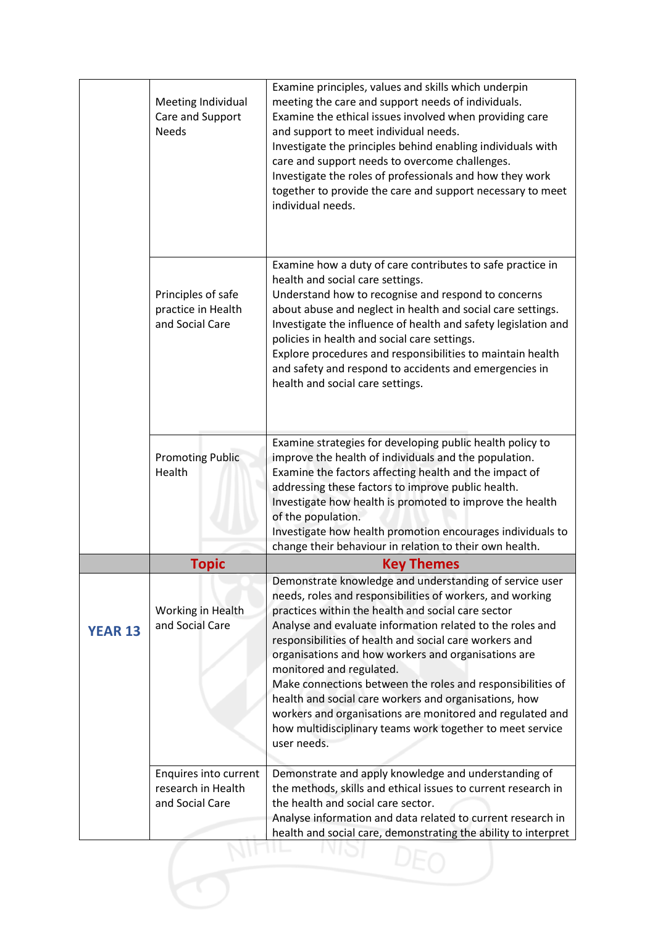|                | Meeting Individual<br>Care and Support<br><b>Needs</b>         | Examine principles, values and skills which underpin<br>meeting the care and support needs of individuals.<br>Examine the ethical issues involved when providing care<br>and support to meet individual needs.<br>Investigate the principles behind enabling individuals with<br>care and support needs to overcome challenges.<br>Investigate the roles of professionals and how they work<br>together to provide the care and support necessary to meet<br>individual needs.                                                                                                                                                                       |
|----------------|----------------------------------------------------------------|------------------------------------------------------------------------------------------------------------------------------------------------------------------------------------------------------------------------------------------------------------------------------------------------------------------------------------------------------------------------------------------------------------------------------------------------------------------------------------------------------------------------------------------------------------------------------------------------------------------------------------------------------|
|                | Principles of safe<br>practice in Health<br>and Social Care    | Examine how a duty of care contributes to safe practice in<br>health and social care settings.<br>Understand how to recognise and respond to concerns<br>about abuse and neglect in health and social care settings.<br>Investigate the influence of health and safety legislation and<br>policies in health and social care settings.<br>Explore procedures and responsibilities to maintain health<br>and safety and respond to accidents and emergencies in<br>health and social care settings.                                                                                                                                                   |
|                | <b>Promoting Public</b><br>Health                              | Examine strategies for developing public health policy to<br>improve the health of individuals and the population.<br>Examine the factors affecting health and the impact of<br>addressing these factors to improve public health.<br>Investigate how health is promoted to improve the health<br>of the population.<br>Investigate how health promotion encourages individuals to<br>change their behaviour in relation to their own health.                                                                                                                                                                                                        |
|                | <b>Topic</b>                                                   | <b>Key Themes</b>                                                                                                                                                                                                                                                                                                                                                                                                                                                                                                                                                                                                                                    |
| <b>YEAR 13</b> | Working in Health<br>and Social Care                           | Demonstrate knowledge and understanding of service user<br>needs, roles and responsibilities of workers, and working<br>practices within the health and social care sector<br>Analyse and evaluate information related to the roles and<br>responsibilities of health and social care workers and<br>organisations and how workers and organisations are<br>monitored and regulated.<br>Make connections between the roles and responsibilities of<br>health and social care workers and organisations, how<br>workers and organisations are monitored and regulated and<br>how multidisciplinary teams work together to meet service<br>user needs. |
|                | Enquires into current<br>research in Health<br>and Social Care | Demonstrate and apply knowledge and understanding of<br>the methods, skills and ethical issues to current research in<br>the health and social care sector.<br>Analyse information and data related to current research in<br>health and social care, demonstrating the ability to interpret                                                                                                                                                                                                                                                                                                                                                         |
|                |                                                                |                                                                                                                                                                                                                                                                                                                                                                                                                                                                                                                                                                                                                                                      |